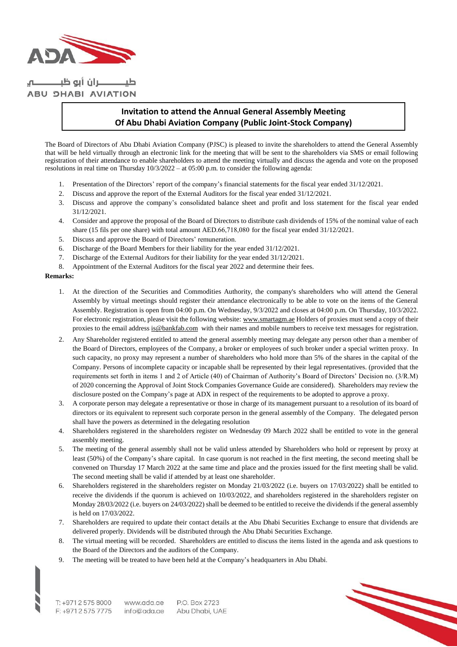

ــــــــران أبو ظبـــــ **ABU DHABI AVIATION** 

## **Invitation to attend the Annual General Assembly Meeting Of Abu Dhabi Aviation Company (Public Joint-Stock Company)**

The Board of Directors of Abu Dhabi Aviation Company (PJSC) is pleased to invite the shareholders to attend the General Assembly that will be held virtually through an electronic link for the meeting that will be sent to the shareholders via SMS or email following registration of their attendance to enable shareholders to attend the meeting virtually and discuss the agenda and vote on the proposed resolutions in real time on Thursday 10/3/2022 – at 05:00 p.m. to consider the following agenda:

- 1. Presentation of the Directors' report of the company's financial statements for the fiscal year ended 31/12/2021.
- 2. Discuss and approve the report of the External Auditors for the fiscal year ended 31/12/2021.
- 3. Discuss and approve the company's consolidated balance sheet and profit and loss statement for the fiscal year ended 31/12/2021.
- 4. Consider and approve the proposal of the Board of Directors to distribute cash dividends of 15% of the nominal value of each share (15 fils per one share) with total amount AED.66,718,080 for the fiscal year ended 31/12/2021.
- 5. Discuss and approve the Board of Directors' remuneration.
- 6. Discharge of the Board Members for their liability for the year ended 31/12/2021.
- 7. Discharge of the External Auditors for their liability for the year ended 31/12/2021.
- 8. Appointment of the External Auditors for the fiscal year 2022 and determine their fees.

## **Remarks:**

- 1. At the direction of the Securities and Commodities Authority, the company's shareholders who will attend the General Assembly by virtual meetings should register their attendance electronically to be able to vote on the items of the General Assembly. Registration is open from 04:00 p.m. On Wednesday, 9/3/2022 and closes at 04:00 p.m. On Thursday, 10/3/2022. For electronic registration, please visit the following website: [www.smartagm.ae](http://www.smartagm.ae/) Holders of proxies must send a copy of their proxies to the email address is @bankfab.com with their names and mobile numbers to receive text messages for registration.
- 2. Any Shareholder registered entitled to attend the general assembly meeting may delegate any person other than a member of the Board of Directors, employees of the Company, a broker or employees of such broker under a special written proxy. In such capacity, no proxy may represent a number of shareholders who hold more than 5% of the shares in the capital of the Company. Persons of incomplete capacity or incapable shall be represented by their legal representatives. (provided that the requirements set forth in items 1 and 2 of Article (40) of Chairman of Authority's Board of Directors' Decision no. (3/R.M) of 2020 concerning the Approval of Joint Stock Companies Governance Guide are considered). Shareholders may review the disclosure posted on the Company's page at ADX in respect of the requirements to be adopted to approve a proxy.
- 3. A corporate person may delegate a representative or those in charge of its management pursuant to a resolution of its board of directors or its equivalent to represent such corporate person in the general assembly of the Company. The delegated person shall have the powers as determined in the delegating resolution
- 4. Shareholders registered in the shareholders register on Wednesday 09 March 2022 shall be entitled to vote in the general assembly meeting.
- 5. The meeting of the general assembly shall not be valid unless attended by Shareholders who hold or represent by proxy at least (50%) of the Company's share capital. In case quorum is not reached in the first meeting, the second meeting shall be convened on Thursday 17 March 2022 at the same time and place and the proxies issued for the first meeting shall be valid. The second meeting shall be valid if attended by at least one shareholder.
- 6. Shareholders registered in the shareholders register on Monday 21/03/2022 (i.e. buyers on 17/03/2022) shall be entitled to receive the dividends if the quorum is achieved on 10/03/2022, and shareholders registered in the shareholders register on Monday 28/03/2022 (i.e. buyers on 24/03/2022) shall be deemed to be entitled to receive the dividends if the general assembly is held on 17/03/2022.
- 7. Shareholders are required to update their contact details at the Abu Dhabi Securities Exchange to ensure that dividends are delivered properly. Dividends will be distributed through the Abu Dhabi Securities Exchange.
- 8. The virtual meeting will be recorded. Shareholders are entitled to discuss the items listed in the agenda and ask questions to the Board of the Directors and the auditors of the Company.
- 9. The meeting will be treated to have been held at the Company's headquarters in Abu Dhabi.